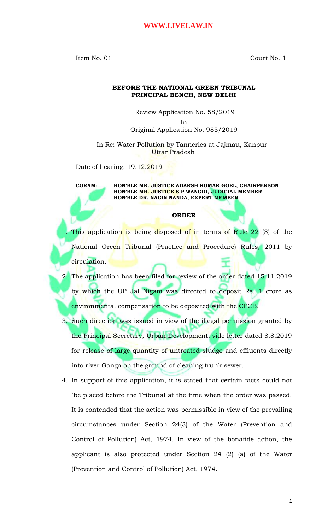Item No. 01 Court No. 1

## **BEFORE THE NATIONAL GREEN TRIBUNAL PRINCIPAL BENCH, NEW DELHI**

Review Application No. 58/2019

In Original Application No. 985/2019

In Re: Water Pollution by Tanneries at Jajmau, Kanpur Uttar Pradesh

Date of hearing: 19.12.2019

**CORAM: HON'BLE MR. JUSTICE ADARSH KUMAR GOEL, CHAIRPERSON HON'BLE MR. JUSTICE S.P WANGDI, JUDICIAL MEMBER HON'BLE DR. NAGIN NANDA, EXPERT MEMBER**

## **ORDER**

- This application is being disposed of in terms of Rule 22 (3) of the National Green Tribunal (Practice and Procedure) Rules, 2011 by circulation.
- 2. The application has been filed for review of the order dated 15.11.2019 by which the UP Jal Nigam was directed to deposit Rs. 1 crore as environmental compensation to be deposited with the CPCB.
- 3. Such direction was issued in view of the illegal permission granted by the Principal Secretary, Urban Development, vide letter dated 8.8.2019 for release of large quantity of untreated sludge and effluents directly into river Ganga on the ground of cleaning trunk sewer.
- 4. In support of this application, it is stated that certain facts could not `be placed before the Tribunal at the time when the order was passed. It is contended that the action was permissible in view of the prevailing circumstances under Section 24(3) of the Water (Prevention and Control of Pollution) Act, 1974. In view of the bonafide action, the applicant is also protected under Section 24 (2) (a) of the Water (Prevention and Control of Pollution) Act, 1974.